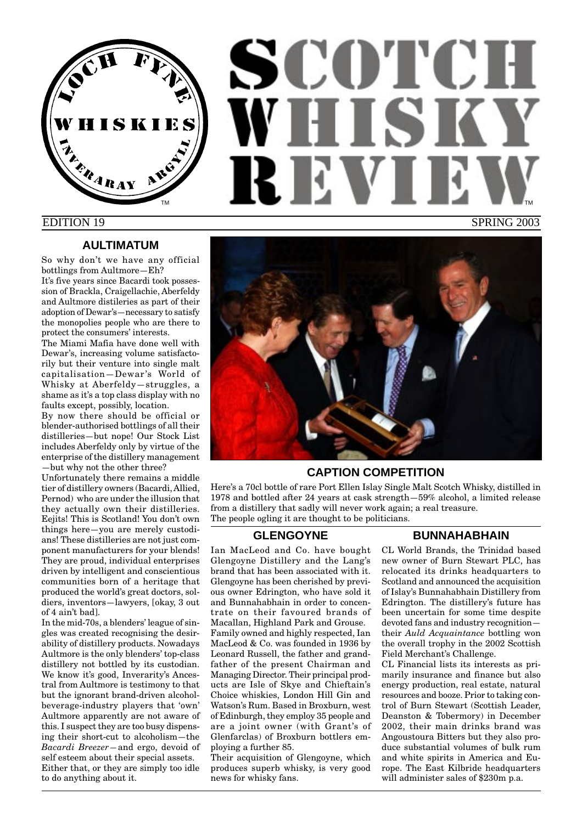

# SCOTCH WHISK RIEVI TM **THE REPORT OF STATE OF STATE OF THE REPORT OF THE REPORT OF STATE OF STATE OF STATE OF STATE OF STATE OF STATE OF STATE OF STATE OF STATE OF STATE OF STATE OF STATE OF STATE OF STATE OF STATE OF STATE OF STATE OF STATE** EDITION 19 SPRING 2003

#### **AULTIMATUM**

So why don't we have any official bottlings from Aultmore—Eh? It's five years since Bacardi took possession of Brackla, Craigellachie, Aberfeldy and Aultmore distileries as part of their adoption of Dewar's—necessary to satisfy the monopolies people who are there to protect the consumers' interests.

The Miami Mafia have done well with Dewar's, increasing volume satisfactorily but their venture into single malt capitalisation—Dewar 's World of Whisky at Aberfeldy—struggles, a shame as it's a top class display with no faults except, possibly, location.

By now there should be official or blender-authorised bottlings of all their distilleries—but nope! Our Stock List includes Aberfeldy only by virtue of the enterprise of the distillery management —but why not the other three?

Unfortunately there remains a middle tier of distillery owners (Bacardi, Allied, Pernod) who are under the illusion that they actually own their distilleries. Eejits! This is Scotland! You don't own things here—you are merely custodians! These distilleries are not just component manufacturers for your blends! They are proud, individual enterprises driven by intelligent and conscientious communities born of a heritage that produced the world's great doctors, soldiers, inventors—lawyers, [okay, 3 out of 4 ain't bad].

In the mid-70s, a blenders' league of singles was created recognising the desirability of distillery products. Nowadays Aultmore is the only blenders' top-class distillery not bottled by its custodian. We know it's good, Inverarity's Ancestral from Aultmore is testimony to that but the ignorant brand-driven alcoholbeverage-industry players that 'own' Aultmore apparently are not aware of this. I suspect they are too busy dispensing their short-cut to alcoholism—the *Bacardi Breezer—*and ergo, devoid of self esteem about their special assets. Either that, or they are simply too idle to do anything about it.



#### **CAPTION COMPETITION**

Here's a 70cl bottle of rare Port Ellen Islay Single Malt Scotch Whisky, distilled in 1978 and bottled after 24 years at cask strength—59% alcohol, a limited release from a distillery that sadly will never work again; a real treasure. The people ogling it are thought to be politicians.

#### **GLENGOYNE**

Ian MacLeod and Co. have bought Glengoyne Distillery and the Lang's brand that has been associated with it. Glengoyne has been cherished by previous owner Edrington, who have sold it and Bunnahabhain in order to concentrate on their favoured brands of Macallan, Highland Park and Grouse. Family owned and highly respected, Ian MacLeod & Co. was founded in 1936 by Leonard Russell, the father and grandfather of the present Chairman and Managing Director. Their principal products are Isle of Skye and Chieftain's Choice whiskies, London Hill Gin and Watson's Rum. Based in Broxburn, west of Edinburgh, they employ 35 people and are a joint owner (with Grant's of Glenfarclas) of Broxburn bottlers employing a further 85.

Their acquisition of Glengoyne, which produces superb whisky, is very good news for whisky fans.

#### **BUNNAHABHAIN**

CL World Brands, the Trinidad based new owner of Burn Stewart PLC, has relocated its drinks headquarters to Scotland and announced the acquisition of Islay's Bunnahabhain Distillery from Edrington. The distillery's future has been uncertain for some time despite devoted fans and industry recognition their *Auld Acquaintance* bottling won the overall trophy in the 2002 Scottish Field Merchant's Challenge.

CL Financial lists its interests as primarily insurance and finance but also energy production, real estate, natural resources and booze. Prior to taking control of Burn Stewart (Scottish Leader, Deanston & Tobermory) in December 2002, their main drinks brand was Angoustoura Bitters but they also produce substantial volumes of bulk rum and white spirits in America and Europe. The East Kilbride headquarters will administer sales of \$230m p.a.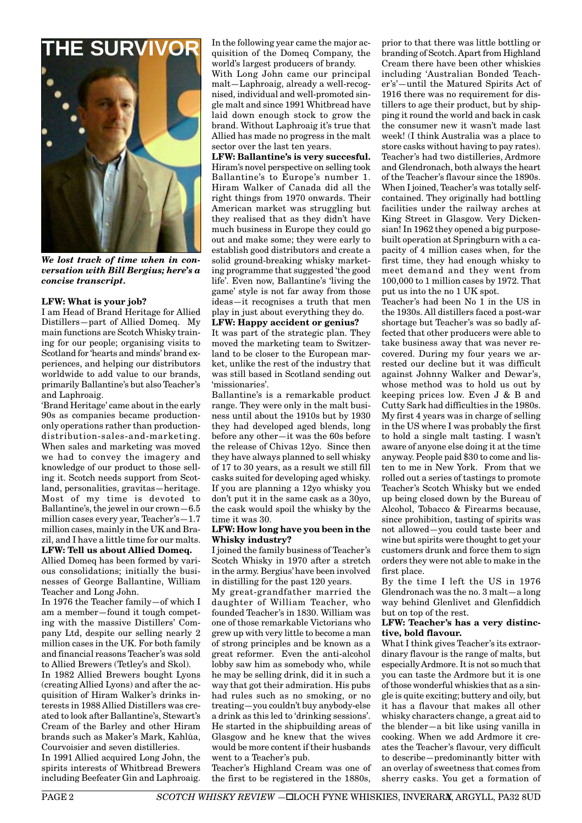

*We lost track of time when in conversation with Bill Bergius; here's a concise transcript.*

#### **LFW: What is your job?**

I am Head of Brand Heritage for Allied Distillers—part of Allied Domeq. My main functions are Scotch Whisky training for our people; organising visits to Scotland for 'hearts and minds' brand experiences, and helping our distributors worldwide to add value to our brands, primarily Ballantine's but also Teacher's and Laphroaig.

'Brand Heritage' came about in the early 90s as companies became productiononly operations rather than productiondistribution-sales-and-marketing. When sales and marketing was moved we had to convey the imagery and knowledge of our product to those selling it. Scotch needs support from Scotland, personalities, gravitas—heritage. Most of my time is devoted to Ballantine's, the jewel in our crown—6.5 million cases every year, Teacher's—1.7 million cases, mainly in the UK and Brazil, and I have a little time for our malts. **LFW: Tell us about Allied Domeq.**

Allied Domeq has been formed by various consolidations; initially the businesses of George Ballantine, William Teacher and Long John.

In 1976 the Teacher family—of which I am a member—found it tough competing with the massive Distillers' Company Ltd, despite our selling nearly 2 million cases in the UK. For both family and financial reasons Teacher's was sold to Allied Brewers (Tetley's and Skol).

In 1982 Allied Brewers bought Lyons (creating Allied Lyons) and after the acquisition of Hiram Walker's drinks interests in 1988 Allied Distillers was created to look after Ballantine's, Stewart's Cream of the Barley and other Hiram brands such as Maker's Mark, Kahlúa, Courvoisier and seven distilleries.

In 1991 Allied acquired Long John, the spirits interests of Whitbread Brewers including Beefeater Gin and Laphroaig. In the following year came the major acquisition of the Domeq Company, the world's largest producers of brandy.

With Long John came our principal malt—Laphroaig, already a well-recognised, individual and well-promoted single malt and since 1991 Whitbread have laid down enough stock to grow the brand. Without Laphroaig it's true that Allied has made no progress in the malt sector over the last ten years.

**LFW: Ballantine's is very succesful.** Hiram's novel perspective on selling took Ballantine's to Europe's number 1. Hiram Walker of Canada did all the right things from 1970 onwards. Their American market was struggling but they realised that as they didn't have much business in Europe they could go out and make some; they were early to establish good distributors and create a solid ground-breaking whisky marketing programme that suggested 'the good life'. Even now, Ballantine's 'living the game' style is not far away from those ideas—it recognises a truth that men play in just about everything they do.

**LFW: Happy accident or genius?**

It was part of the strategic plan. They moved the marketing team to Switzerland to be closer to the European market, unlike the rest of the industry that was still based in Scotland sending out 'missionaries'.

Ballantine's is a remarkable product range. They were only in the malt business until about the 1910s but by 1930 they had developed aged blends, long before any other—it was the 60s before the release of Chivas 12yo. Since then they have always planned to sell whisky of 17 to 30 years, as a result we still fill casks suited for developing aged whisky. If you are planning a 12yo whisky you don't put it in the same cask as a 30yo, the cask would spoil the whisky by the time it was 30.

#### **LFW: How long have you been in the Whisky industry?**

I joined the family business of Teacher's Scotch Whisky in 1970 after a stretch in the army. Bergius' have been involved in distilling for the past 120 years.

My great-grandfather married the daughter of William Teacher, who founded Teacher's in 1830. William was one of those remarkable Victorians who grew up with very little to become a man of strong principles and be known as a great reformer. Even the anti-alcohol lobby saw him as somebody who, while he may be selling drink, did it in such a way that got their admiration. His pubs had rules such as no smoking, or no treating—you couldn't buy anybody-else a drink as this led to 'drinking sessions'. He started in the shipbuilding areas of Glasgow and he knew that the wives would be more content if their husbands went to a Teacher's pub.

Teacher's Highland Cream was one of the first to be registered in the 1880s,

prior to that there was little bottling or branding of Scotch. Apart from Highland Cream there have been other whiskies including 'Australian Bonded Teacher's'—until the Matured Spirits Act of 1916 there was no requirement for distillers to age their product, but by shipping it round the world and back in cask the consumer new it wasn't made last week! (I think Australia was a place to store casks without having to pay rates). Teacher's had two distilleries, Ardmore and Glendronach, both always the heart of the Teacher's flavour since the 1890s. When I joined, Teacher's was totally selfcontained. They originally had bottling facilities under the railway arches at King Street in Glasgow. Very Dickensian! In 1962 they opened a big purposebuilt operation at Springburn with a capacity of 4 million cases when, for the first time, they had enough whisky to meet demand and they went from 100,000 to 1 million cases by 1972. That put us into the no 1 UK spot.

Teacher's had been No 1 in the US in the 1930s. All distillers faced a post-war shortage but Teacher's was so badly affected that other producers were able to take business away that was never recovered. During my four years we arrested our decline but it was difficult against Johnny Walker and Dewar's, whose method was to hold us out by keeping prices low. Even J & B and Cutty Sark had difficulties in the 1980s. My first 4 years was in charge of selling in the US where I was probably the first to hold a single malt tasting. I wasn't aware of anyone else doing it at the time anyway. People paid \$30 to come and listen to me in New York. From that we rolled out a series of tastings to promote Teacher's Scotch Whisky but we ended up being closed down by the Bureau of Alcohol, Tobacco & Firearms because, since prohibition, tasting of spirits was not allowed—you could taste beer and wine but spirits were thought to get your customers drunk and force them to sign orders they were not able to make in the first place.

By the time I left the US in 1976 Glendronach was the no. 3 malt—a long way behind Glenlivet and Glenfiddich but on top of the rest.

#### **LFW: Teacher's has a very distinctive, bold flavour.**

What I think gives Teacher's its extraordinary flavour is the range of malts, but especially Ardmore. It is not so much that you can taste the Ardmore but it is one of those wonderful whiskies that as a single is quite exciting; buttery and oily, but it has a flavour that makes all other whisky characters change, a great aid to the blender—a bit like using vanilla in cooking. When we add Ardmore it creates the Teacher's flavour, very difficult to describe—predominantly bitter with an overlay of sweetness that comes from sherry casks. You get a formation of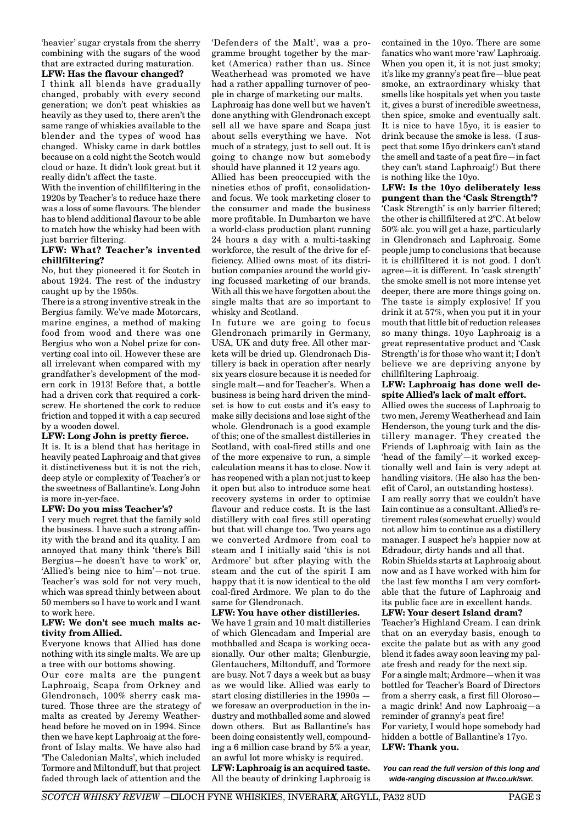'heavier' sugar crystals from the sherry combining with the sugars of the wood that are extracted during maturation.

#### **LFW: Has the flavour changed?**

I think all blends have gradually changed, probably with every second generation; we don't peat whiskies as heavily as they used to, there aren't the same range of whiskies available to the blender and the types of wood has changed. Whisky came in dark bottles because on a cold night the Scotch would cloud or haze. It didn't look great but it really didn't affect the taste.

With the invention of chillfiltering in the 1920s by Teacher's to reduce haze there was a loss of some flavours. The blender has to blend additional flavour to be able to match how the whisky had been with just barrier filtering.

#### **LFW: What? Teacher's invented chillfiltering?**

No, but they pioneered it for Scotch in about 1924. The rest of the industry caught up by the 1950s.

There is a strong inventive streak in the Bergius family. We've made Motorcars, marine engines, a method of making food from wood and there was one Bergius who won a Nobel prize for converting coal into oil. However these are all irrelevant when compared with my grandfather's development of the modern cork in 1913! Before that, a bottle had a driven cork that required a corkscrew. He shortened the cork to reduce friction and topped it with a cap secured by a wooden dowel.

#### **LFW: Long John is pretty fierce.**

It is. It is a blend that has heritage in heavily peated Laphroaig and that gives it distinctiveness but it is not the rich, deep style or complexity of Teacher's or the sweetness of Ballantine's. Long John is more in-yer-face.

#### **LFW: Do you miss Teacher's?**

I very much regret that the family sold the business. I have such a strong affinity with the brand and its quality. I am annoyed that many think 'there's Bill Bergius—he doesn't have to work' or, 'Allied's being nice to him'—not true. Teacher's was sold for not very much, which was spread thinly between about 50 members so I have to work and I want to work here.

#### **LFW: We don't see much malts activity from Allied.**

Everyone knows that Allied has done nothing with its single malts. We are up a tree with our bottoms showing.

Our core malts are the pungent Laphroaig, Scapa from Orkney and Glendronach, 100% sherry cask matured. Those three are the strategy of malts as created by Jeremy Weatherhead before he moved on in 1994. Since then we have kept Laphroaig at the forefront of Islay malts. We have also had 'The Caledonian Malts', which included Tormore and Miltonduff, but that project faded through lack of attention and the 'Defenders of the Malt', was a programme brought together by the market (America) rather than us. Since Weatherhead was promoted we have had a rather appalling turnover of people in charge of marketing our malts. Laphroaig has done well but we haven't done anything with Glendronach except sell all we have spare and Scapa just about sells everything we have. Not much of a strategy, just to sell out. It is going to change now but somebody should have planned it 12 years ago.

Allied has been preoccupied with the nineties ethos of profit, consolidationand focus. We took marketing closer to the consumer and made the business more profitable. In Dumbarton we have a world-class production plant running 24 hours a day with a multi-tasking workforce, the result of the drive for efficiency. Allied owns most of its distribution companies around the world giving focussed marketing of our brands. With all this we have forgotten about the single malts that are so important to whisky and Scotland.

In future we are going to focus Glendronach primarily in Germany, USA, UK and duty free. All other markets will be dried up. Glendronach Distillery is back in operation after nearly six years closure because it is needed for single malt—and for Teacher's. When a business is being hard driven the mindset is how to cut costs and it's easy to make silly decisions and lose sight of the whole. Glendronach is a good example of this; one of the smallest distilleries in Scotland, with coal-fired stills and one of the more expensive to run, a simple calculation means it has to close. Now it has reopened with a plan not just to keep it open but also to introduce some heat recovery systems in order to optimise flavour and reduce costs. It is the last distillery with coal fires still operating but that will change too. Two years ago we converted Ardmore from coal to steam and I initially said 'this is not Ardmore' but after playing with the steam and the cut of the spirit I am happy that it is now identical to the old coal-fired Ardmore. We plan to do the same for Glendronach.

#### **LFW: You have other distilleries.**

We have 1 grain and 10 malt distilleries of which Glencadam and Imperial are mothballed and Scapa is working occasionally. Our other malts; Glenburgie, Glentauchers, Miltonduff, and Tormore are busy. Not 7 days a week but as busy as we would like. Allied was early to start closing distilleries in the 1990s we foresaw an overproduction in the industry and mothballed some and slowed down others. But as Ballantine's has been doing consistently well, compounding a 6 million case brand by 5% a year, an awful lot more whisky is required. **LFW: Laphroaig is an acquired taste.** All the beauty of drinking Laphroaig is

contained in the 10yo. There are some fanatics who want more 'raw' Laphroaig. When you open it, it is not just smoky; it's like my granny's peat fire—blue peat smoke, an extraordinary whisky that smells like hospitals yet when you taste it, gives a burst of incredible sweetness, then spice, smoke and eventually salt. It is nice to have 15yo, it is easier to drink because the smoke is less. (I suspect that some 15yo drinkers can't stand the smell and taste of a peat fire—in fact they can't stand Laphroaig!) But there is nothing like the 10yo.

**LFW: Is the 10yo deliberately less pungent than the 'Cask Strength'?** 'Cask Strength' is only barrier filtered; the other is chillfiltered at 2ºC. At below 50% alc. you will get a haze, particularly in Glendronach and Laphroaig. Some people jump to conclusions that because it is chillfiltered it is not good. I don't agree—it is different. In 'cask strength' the smoke smell is not more intense yet deeper, there are more things going on. The taste is simply explosive! If you drink it at 57%, when you put it in your mouth that little bit of reduction releases so many things. 10yo Laphroaig is a great representative product and 'Cask Strength' is for those who want it; I don't believe we are depriving anyone by chillfiltering Laphroaig.

#### **LFW: Laphroaig has done well despite Allied's lack of malt effort.**

Allied owes the success of Laphroaig to two men, Jeremy Weatherhead and Iain Henderson, the young turk and the distillery manager. They created the Friends of Laphroaig with Iain as the 'head of the family'—it worked exceptionally well and Iain is very adept at handling visitors. (He also has the benefit of Carol, an outstanding hostess). I am really sorry that we couldn't have Iain continue as a consultant. Allied's retirement rules (somewhat cruelly) would not allow him to continue as a distillery manager. I suspect he's happier now at Edradour, dirty hands and all that.

Robin Shields starts at Laphroaig about now and as I have worked with him for the last few months I am very comfortable that the future of Laphroaig and its public face are in excellent hands.

#### **LFW: Your desert Island dram?**

Teacher's Highland Cream. I can drink that on an everyday basis, enough to excite the palate but as with any good blend it fades away soon leaving my palate fresh and ready for the next sip. For a single malt; Ardmore—when it was bottled for Teacher's Board of Directors from a sherry cask, a first fill Oloroso a magic drink! And now Laphroaig—a reminder of granny's peat fire! For variety, I would hope somebody had hidden a bottle of Ballantine's 17yo. **LFW: Thank you.**

*You can read the full version of this long and wide-ranging discussion at lfw.co.uk/swr.*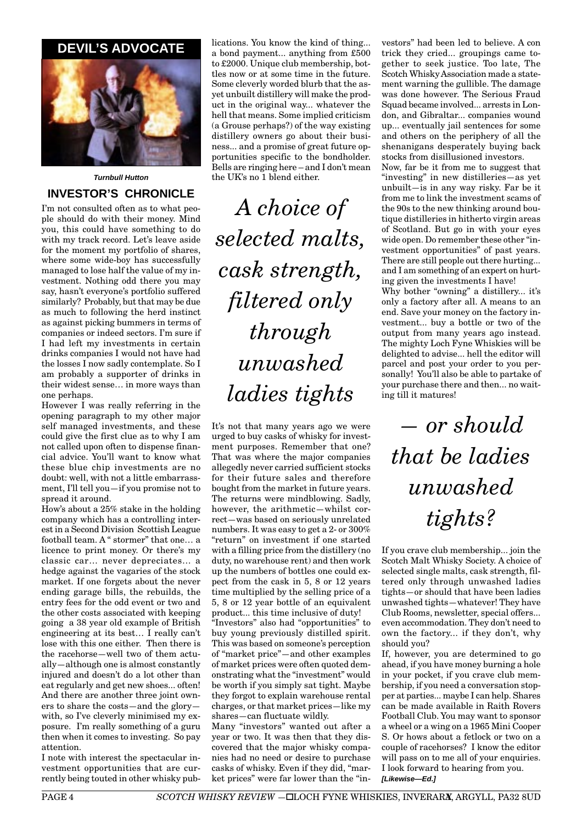# **DEVIL'S ADVOCATE**



*Turnbull Hutton*

# **INVESTOR'S CHRONICLE**

I'm not consulted often as to what people should do with their money. Mind you, this could have something to do with my track record. Let's leave aside for the moment my portfolio of shares, where some wide-boy has successfully managed to lose half the value of my investment. Nothing odd there you may say, hasn't everyone's portfolio suffered similarly? Probably, but that may be due as much to following the herd instinct as against picking bummers in terms of companies or indeed sectors. I'm sure if I had left my investments in certain drinks companies I would not have had the losses I now sadly contemplate. So I am probably a supporter of drinks in their widest sense… in more ways than one perhaps.

However I was really referring in the opening paragraph to my other major self managed investments, and these could give the first clue as to why I am not called upon often to dispense financial advice. You'll want to know what these blue chip investments are no doubt: well, with not a little embarrassment, I'll tell you—if you promise not to spread it around.

How's about a 25% stake in the holding company which has a controlling interest in a Second Division Scottish League football team. A " stormer" that one… a licence to print money. Or there's my classic car… never depreciates… a hedge against the vagaries of the stock market. If one forgets about the never ending garage bills, the rebuilds, the entry fees for the odd event or two and the other costs associated with keeping going a 38 year old example of British engineering at its best… I really can't lose with this one either. Then there is the racehorse—well two of them actually—although one is almost constantly injured and doesn't do a lot other than eat regularly and get new shoes... often! And there are another three joint owners to share the costs—and the glory with, so I've cleverly minimised my exposure. I'm really something of a guru then when it comes to investing. So pay attention.

I note with interest the spectacular investment opportunities that are currently being touted in other whisky publications. You know the kind of thing... a bond payment... anything from £500 to £2000. Unique club membership, bottles now or at some time in the future. Some cleverly worded blurb that the asyet unbuilt distillery will make the product in the original way... whatever the hell that means. Some implied criticism (a Grouse perhaps?) of the way existing distillery owners go about their business... and a promise of great future opportunities specific to the bondholder. Bells are ringing here – and I don't mean the UK's no 1 blend either

*A choice of selected malts, cask strength, filtered only through unwashed ladies tights*

It's not that many years ago we were urged to buy casks of whisky for investment purposes. Remember that one? That was where the major companies allegedly never carried sufficient stocks for their future sales and therefore bought from the market in future years. The returns were mindblowing. Sadly, however, the arithmetic—whilst correct—was based on seriously unrelated numbers. It was easy to get a 2- or 300% "return" on investment if one started with a filling price from the distillery (no duty, no warehouse rent) and then work up the numbers of bottles one could expect from the cask in 5, 8 or 12 years time multiplied by the selling price of a 5, 8 or 12 year bottle of an equivalent product... this time inclusive of duty!

"Investors" also had "opportunities" to buy young previously distilled spirit. This was based on someone's perception of "market price"—and other examples of market prices were often quoted demonstrating what the "investment" would be worth if you simply sat tight. Maybe they forgot to explain warehouse rental charges, or that market prices—like my shares—can fluctuate wildly.

Many "investors" wanted out after a year or two. It was then that they discovered that the major whisky companies had no need or desire to purchase casks of whisky. Even if they did, "market prices" were far lower than the "in-

vestors" had been led to believe. A con trick they cried... groupings came together to seek justice. Too late, The Scotch Whisky Association made a statement warning the gullible. The damage was done however. The Serious Fraud Squad became involved... arrests in London, and Gibraltar... companies wound up... eventually jail sentences for some and others on the periphery of all the shenanigans desperately buying back stocks from disillusioned investors.

Now, far be it from me to suggest that "investing" in new distilleries—as yet unbuilt—is in any way risky. Far be it from me to link the investment scams of the 90s to the new thinking around boutique distilleries in hitherto virgin areas of Scotland. But go in with your eyes wide open. Do remember these other "investment opportunities" of past years. There are still people out there hurting... and I am something of an expert on hurting given the investments I have!

Why bother "owning" a distillery... it's only a factory after all. A means to an end. Save your money on the factory investment... buy a bottle or two of the output from many years ago instead. The mighty Loch Fyne Whiskies will be delighted to advise... hell the editor will parcel and post your order to you personally! You'll also be able to partake of your purchase there and then... no waiting till it matures!

*— or should that be ladies unwashed tights?*

If you crave club membership... join the Scotch Malt Whisky Society. A choice of selected single malts, cask strength, filtered only through unwashed ladies tights—or should that have been ladies unwashed tights—whatever! They have Club Rooms, newsletter, special offers... even accommodation. They don't need to own the factory... if they don't, why should you?

If, however, you are determined to go ahead, if you have money burning a hole in your pocket, if you crave club membership, if you need a conversation stopper at parties... maybe I can help. Shares can be made available in Raith Rovers Football Club. You may want to sponsor a wheel or a wing on a 1965 Mini Cooper S. Or hows about a fetlock or two on a couple of racehorses? I know the editor will pass on to me all of your enquiries. I look forward to hearing from you. *[Likewise—Ed.]*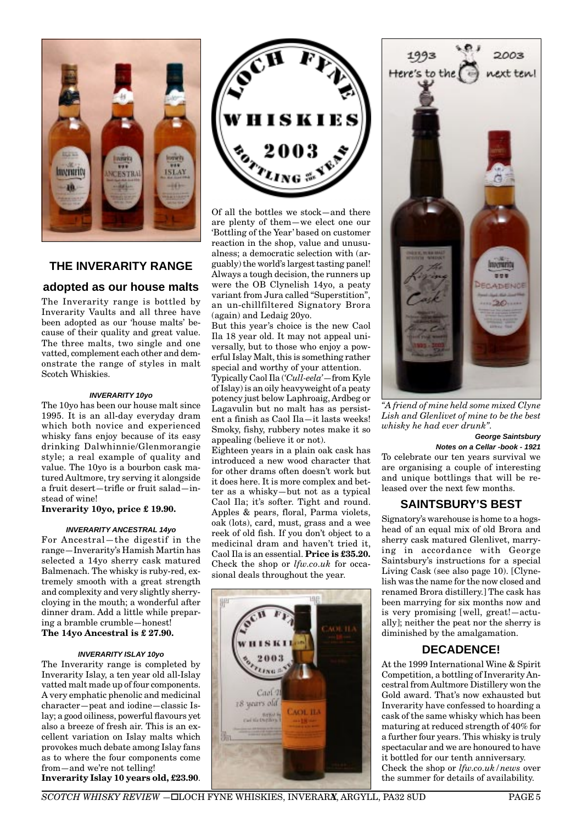

#### **THE INVERARITY RANGE**

#### **adopted as our house malts**

The Inverarity range is bottled by Inverarity Vaults and all three have been adopted as our 'house malts' because of their quality and great value. The three malts, two single and one vatted, complement each other and demonstrate the range of styles in malt Scotch Whiskies.

#### *INVERARITY 10yo*

The 10yo has been our house malt since 1995. It is an all-day everyday dram which both novice and experienced whisky fans enjoy because of its easy drinking Dalwhinnie/Glenmorangie style; a real example of quality and value. The 10yo is a bourbon cask matured Aultmore, try serving it alongside a fruit desert—trifle or fruit salad—instead of wine!

#### **Inverarity 10yo, price £ 19.90.**

#### *INVERARITY ANCESTRAL 14yo*

For Ancestral—the digestif in the range—Inverarity's Hamish Martin has selected a 14yo sherry cask matured Balmenach. The whisky is ruby-red, extremely smooth with a great strength and complexity and very slightly sherrycloying in the mouth; a wonderful after dinner dram. Add a little while preparing a bramble crumble—honest! **The 14yo Ancestral is £ 27.90.**

#### *INVERARITY ISLAY 10yo*

The Inverarity range is completed by Inverarity Islay, a ten year old all-Islay vatted malt made up of four components. A very emphatic phenolic and medicinal character—peat and iodine—classic Islay; a good oiliness, powerful flavours yet also a breeze of fresh air. This is an excellent variation on Islay malts which provokes much debate among Islay fans as to where the four components come from—and we're not telling!

**Inverarity Islay 10 years old, £23.90**.



Of all the bottles we stock—and there are plenty of them—we elect one our 'Bottling of the Year' based on customer reaction in the shop, value and unusualness; a democratic selection with (arguably) the world's largest tasting panel! Always a tough decision, the runners up were the OB Clynelish 14yo, a peaty variant from Jura called "Superstition", an un-chillfiltered Signatory Brora (again) and Ledaig 20yo.

But this year's choice is the new Caol Ila 18 year old. It may not appeal universally, but to those who enjoy a powerful Islay Malt, this is something rather special and worthy of your attention.

Typically Caol Ila (*'Cull-eela'*—from Kyle of Islay) is an oily heavyweight of a peaty potency just below Laphroaig, Ardbeg or Lagavulin but no malt has as persistent a finish as Caol Ila—it lasts weeks! Smoky, fishy, rubbery notes make it so appealing (believe it or not).

Eighteen years in a plain oak cask has introduced a new wood character that for other drams often doesn't work but it does here. It is more complex and better as a whisky—but not as a typical Caol Ila; it's softer. Tight and round. Apples & pears, floral, Parma violets, oak (lots), card, must, grass and a wee reek of old fish. If you don't object to a medicinal dram and haven't tried it, Caol Ila is an essential. **Price is £35.20.** Check the shop or *lfw.co.uk* for occasional deals throughout the year.





*"A friend of mine held some mixed Clyne Lish and Glenlivet of mine to be the best whisky he had ever drunk".*

#### *George Saintsbury*

*Notes on a Cellar -book - 1921*

To celebrate our ten years survival we are organising a couple of interesting and unique bottlings that will be released over the next few months.

# **SAINTSBURY'S BEST**

Signatory's warehouse is home to a hogshead of an equal mix of old Brora and sherry cask matured Glenlivet, marrying in accordance with George Saintsbury's instructions for a special Living Cask (see also page 10). [Clynelish was the name for the now closed and renamed Brora distillery.] The cask has been marrying for six months now and is very promising [well, great!—actually]; neither the peat nor the sherry is diminished by the amalgamation.

# **DECADENCE!**

At the 1999 International Wine & Spirit Competition, a bottling of Inverarity Ancestral from Aultmore Distillery won the Gold award. That's now exhausted but Inverarity have confessed to hoarding a cask of the same whisky which has been maturing at reduced strength of 40% for a further four years. This whisky is truly spectacular and we are honoured to have it bottled for our tenth anniversary. Check the shop or *lfw.co.uk/news* over the summer for details of availability.

*SCOTCH WHISKY REVIEW* −□LOCH FYNE WHISKIES, INVERARX, ARGYLL, PA32 8UD PAGE 5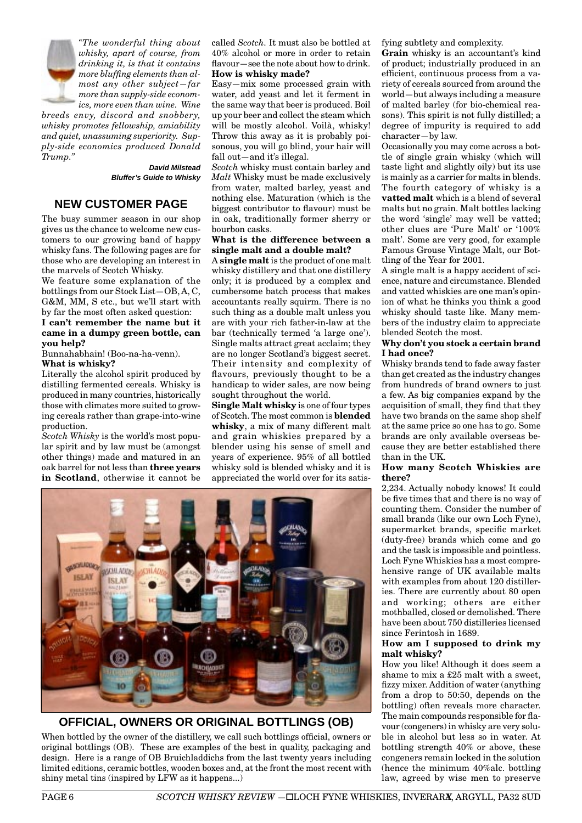

*"The wonderful thing about whisky, apart of course, from drinking it, is that it contains more bluffing elements than almost any other subject—far more than supply-side economics, more even than wine. Wine*

*breeds envy, discord and snobbery, whisky promotes fellowship, amiability and quiet, unassuming superiority. Supply-side economics produced Donald Trump."*

 *David Milstead Bluffer's Guide to Whisky*

#### **NEW CUSTOMER PAGE**

The busy summer season in our shop gives us the chance to welcome new customers to our growing band of happy whisky fans. The following pages are for those who are developing an interest in the marvels of Scotch Whisky.

We feature some explanation of the bottlings from our Stock List—OB, A, C, G&M, MM, S etc., but we'll start with by far the most often asked question:

#### **I can't remember the name but it came in a dumpy green bottle, can you help?**

Bunnahabhain! (Boo-na-ha-venn). **What is whisky?**

Literally the alcohol spirit produced by distilling fermented cereals. Whisky is produced in many countries, historically those with climates more suited to growing cereals rather than grape-into-wine production.

*Scotch Whisky* is the world's most popular spirit and by law must be (amongst other things) made and matured in an oak barrel for not less than **three years in Scotland**, otherwise it cannot be called *Scotch.* It must also be bottled at 40% alcohol or more in order to retain flavour—see the note about how to drink. **How is whisky made?**

Easy—mix some processed grain with water, add yeast and let it ferment in the same way that beer is produced. Boil up your beer and collect the steam which will be mostly alcohol. Voilà, whisky! Throw this away as it is probably poisonous, you will go blind, your hair will fall out—and it's illegal.

*Scotch* whisky must contain barley and *Malt* Whisky must be made exclusively from water, malted barley, yeast and nothing else. Maturation (which is the biggest contributor to flavour) must be in oak, traditionally former sherry or bourbon casks.

#### **What is the difference between a single malt and a double malt?**

A **single malt** is the product of one malt whisky distillery and that one distillery only; it is produced by a complex and cumbersome batch process that makes accountants really squirm. There is no such thing as a double malt unless you are with your rich father-in-law at the bar (technically termed 'a large one'). Single malts attract great acclaim; they are no longer Scotland's biggest secret. Their intensity and complexity of flavours, previously thought to be a handicap to wider sales, are now being sought throughout the world.

**Single Malt whisky** is one of four types of Scotch. The most common is **blended whisky**, a mix of many different malt and grain whiskies prepared by a blender using his sense of smell and years of experience. 95% of all bottled whisky sold is blended whisky and it is appreciated the world over for its satis-



**OFFICIAL, OWNERS OR ORIGINAL BOTTLINGS (OB)**

When bottled by the owner of the distillery, we call such bottlings official, owners or original bottlings (OB). These are examples of the best in quality, packaging and design. Here is a range of OB Bruichladdichs from the last twenty years including limited editions, ceramic bottles, wooden boxes and, at the front the most recent with shiny metal tins (inspired by LFW as it happens...)

fying subtlety and complexity.

**Grain** whisky is an accountant's kind of product; industrially produced in an efficient, continuous process from a variety of cereals sourced from around the world—but always including a measure of malted barley (for bio-chemical reasons). This spirit is not fully distilled; a degree of impurity is required to add character—by law.

Occasionally you may come across a bottle of single grain whisky (which will taste light and slightly oily) but its use is mainly as a carrier for malts in blends. The fourth category of whisky is a **vatted malt** which is a blend of several malts but no grain. Malt bottles lacking the word 'single' may well be vatted; other clues are 'Pure Malt' or '100% malt'. Some are very good, for example Famous Grouse Vintage Malt, our Bottling of the Year for 2001.

A single malt is a happy accident of science, nature and circumstance. Blended and vatted whiskies are one man's opinion of what he thinks you think a good whisky should taste like. Many members of the industry claim to appreciate blended Scotch the most.

#### **Why don't you stock a certain brand I had once?**

Whisky brands tend to fade away faster than get created as the industry changes from hundreds of brand owners to just a few. As big companies expand by the acquisition of small, they find that they have two brands on the same shop shelf at the same price so one has to go. Some brands are only available overseas because they are better established there than in the UK.

#### **How many Scotch Whiskies are there?**

2,234. Actually nobody knows! It could be five times that and there is no way of counting them. Consider the number of small brands (like our own Loch Fyne), supermarket brands, specific market (duty-free) brands which come and go and the task is impossible and pointless. Loch Fyne Whiskies has a most comprehensive range of UK available malts with examples from about 120 distilleries. There are currently about 80 open and working; others are either mothballed, closed or demolished. There have been about 750 distilleries licensed since Ferintosh in 1689.

#### **How am I supposed to drink my malt whisky?**

How you like! Although it does seem a shame to mix a £25 malt with a sweet, fizzy mixer. Addition of water (anything from a drop to 50:50, depends on the bottling) often reveals more character. The main compounds responsible for flavour (congeners) in whisky are very soluble in alcohol but less so in water. At bottling strength 40% or above, these congeners remain locked in the solution (hence the minimum 40%alc. bottling law, agreed by wise men to preserve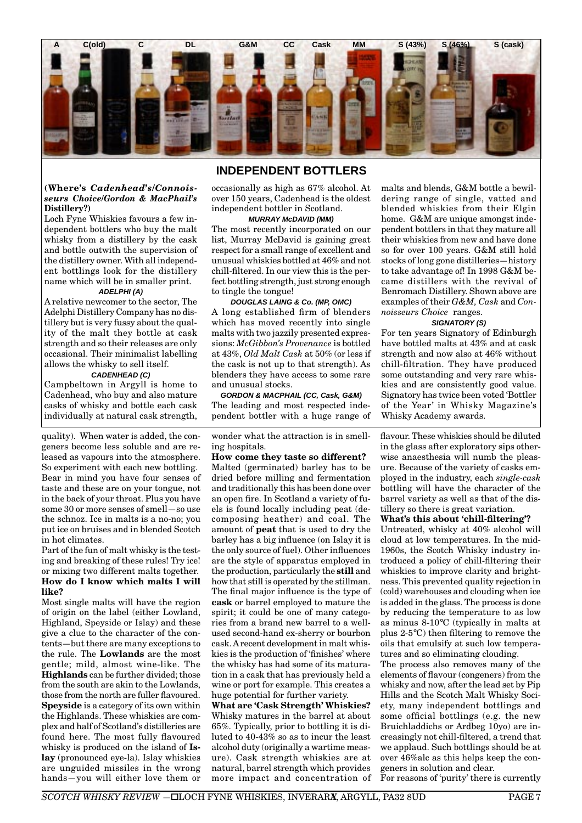

### **INDEPENDENT BOTTLERS**

#### **(Where's** *Cadenhead's/Connoisseurs Choice/Gordon & MacPhail's* **Distillery?)**

Loch Fyne Whiskies favours a few independent bottlers who buy the malt whisky from a distillery by the cask and bottle outwith the supervision of the distillery owner. With all independent bottlings look for the distillery name which will be in smaller print.

#### *ADELPHI (A)*

A relative newcomer to the sector, The Adelphi Distillery Company has no distillery but is very fussy about the quality of the malt they bottle at cask strength and so their releases are only occasional. Their minimalist labelling allows the whisky to sell itself.

#### *CADENHEAD (C)*

Campbeltown in Argyll is home to Cadenhead, who buy and also mature casks of whisky and bottle each cask individually at natural cask strength,

quality). When water is added, the congeners become less soluble and are released as vapours into the atmosphere. So experiment with each new bottling. Bear in mind you have four senses of taste and these are on your tongue, not in the back of your throat. Plus you have some 30 or more senses of smell—so use the schnoz. Ice in malts is a no-no; you put ice on bruises and in blended Scotch in hot climates.

Part of the fun of malt whisky is the testing and breaking of these rules! Try ice! or mixing two different malts together. **How do I know which malts I will like?**

Most single malts will have the region of origin on the label (either Lowland, Highland, Speyside or Islay) and these give a clue to the character of the contents—but there are many exceptions to the rule. The **Lowlands** are the most gentle; mild, almost wine-like. The **Highlands** can be further divided; those from the south are akin to the Lowlands, those from the north are fuller flavoured. **Speyside** is a category of its own within the Highlands. These whiskies are complex and half of Scotland's distilleries are found here. The most fully flavoured whisky is produced on the island of **Islay** (pronounced eye-la). Islay whiskies are unguided missiles in the wrong hands—you will either love them or occasionally as high as 67% alcohol. At over 150 years, Cadenhead is the oldest independent bottler in Scotland.

#### *MURRAY McDAVID (MM)*

The most recently incorporated on our list, Murray McDavid is gaining great respect for a small range of excellent and unusual whiskies bottled at 46% and not chill-filtered. In our view this is the perfect bottling strength, just strong enough to tingle the tongue!

*DOUGLAS LAING & Co. (MP, OMC)* A long established firm of blenders which has moved recently into single malts with two jazzily presented expressions: *McGibbon's Provenance* is bottled at 43%, *Old Malt Cask* at 50% (or less if the cask is not up to that strength). As blenders they have access to some rare and unusual stocks.

*GORDON & MACPHAIL (CC, Cask, G&M)* The leading and most respected independent bottler with a huge range of

wonder what the attraction is in smelling hospitals.

**How come they taste so different?** Malted (germinated) barley has to be dried before milling and fermentation and traditionally this has been done over an open fire. In Scotland a variety of fuels is found locally including peat (decomposing heather) and coal. The amount of **peat** that is used to dry the barley has a big influence (on Islay it is the only source of fuel). Other influences are the style of apparatus employed in the production, particularly the **still** and how that still is operated by the stillman. The final major influence is the type of **cask** or barrel employed to mature the spirit; it could be one of many categories from a brand new barrel to a wellused second-hand ex-sherry or bourbon cask. A recent development in malt whiskies is the production of 'finishes' where the whisky has had some of its maturation in a cask that has previously held a wine or port for example. This creates a huge potential for further variety.

**What are 'Cask Strength' Whiskies?** Whisky matures in the barrel at about 65%. Typically, prior to bottling it is diluted to 40-43% so as to incur the least alcohol duty (originally a wartime measure). Cask strength whiskies are at natural, barrel strength which provides more impact and concentration of malts and blends, G&M bottle a bewildering range of single, vatted and blended whiskies from their Elgin home. G&M are unique amongst independent bottlers in that they mature all their whiskies from new and have done so for over 100 years. G&M still hold stocks of long gone distilleries—history to take advantage of! In 1998 G&M became distillers with the revival of Benromach Distillery. Shown above are examples of their *G&M, Cask* and *Connoisseurs Choice* ranges.

#### *SIGNATORY (S)*

For ten years Signatory of Edinburgh have bottled malts at 43% and at cask strength and now also at 46% without chill-filtration. They have produced some outstanding and very rare whiskies and are consistently good value. Signatory has twice been voted 'Bottler of the Year' in Whisky Magazine's Whisky Academy awards.

flavour. These whiskies should be diluted in the glass after exploratory sips otherwise anaesthesia will numb the pleasure. Because of the variety of casks employed in the industry, each *single-cask* bottling will have the character of the barrel variety as well as that of the distillery so there is great variation.

#### **What's this about 'chill-filtering'?**

Untreated, whisky at 40% alcohol will cloud at low temperatures. In the mid-1960s, the Scotch Whisky industry introduced a policy of chill-filtering their whiskies to improve clarity and brightness. This prevented quality rejection in (cold) warehouses and clouding when ice is added in the glass. The process is done by reducing the temperature to as low as minus 8-10°C (typically in malts at plus 2-5°C) then filtering to remove the oils that emulsify at such low temperatures and so eliminating clouding.

The process also removes many of the elements of flavour (congeners) from the whisky and now, after the lead set by Pip Hills and the Scotch Malt Whisky Society, many independent bottlings and some official bottlings (e.g. the new Bruichladdichs or Ardbeg 10yo) are increasingly not chill-filtered, a trend that we applaud. Such bottlings should be at over 46%alc as this helps keep the congeners in solution and clear.

For reasons of 'purity' there is currently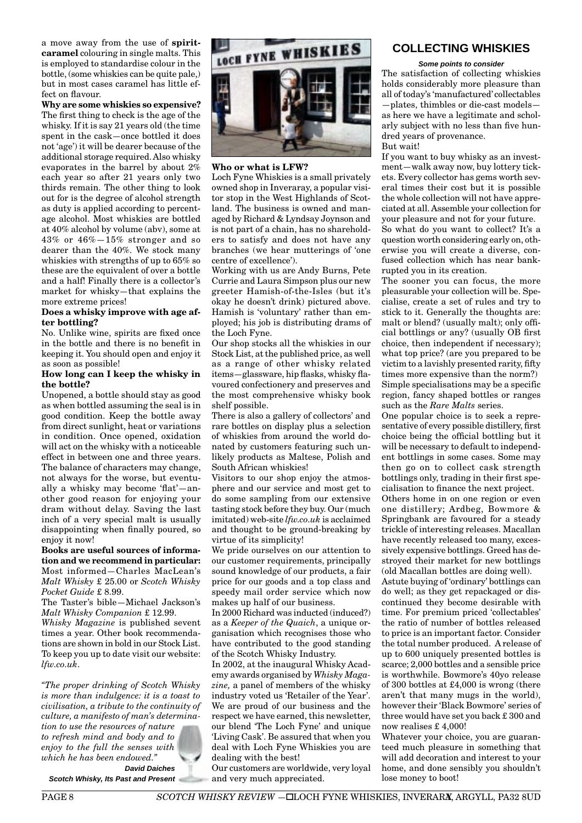a move away from the use of **spiritcaramel** colouring in single malts. This is employed to standardise colour in the bottle, (some whiskies can be quite pale,) but in most cases caramel has little effect on flavour.

**Why are some whiskies so expensive?** The first thing to check is the age of the whisky. If it is say 21 years old (the time spent in the cask—once bottled it does not 'age') it will be dearer because of the additional storage required. Also whisky evaporates in the barrel by about 2% each year so after 21 years only two thirds remain. The other thing to look out for is the degree of alcohol strength as duty is applied according to percentage alcohol. Most whiskies are bottled at 40% alcohol by volume (abv), some at 43% or 46%—15% stronger and so dearer than the 40%. We stock many whiskies with strengths of up to 65% so these are the equivalent of over a bottle and a half! Finally there is a collector's market for whisky—that explains the more extreme prices!

#### **Does a whisky improve with age after bottling?**

No. Unlike wine, spirits are fixed once in the bottle and there is no benefit in keeping it. You should open and enjoy it as soon as possible!

#### **How long can I keep the whisky in the bottle?**

Unopened, a bottle should stay as good as when bottled assuming the seal is in good condition. Keep the bottle away from direct sunlight, heat or variations in condition. Once opened, oxidation will act on the whisky with a noticeable effect in between one and three years. The balance of characters may change, not always for the worse, but eventually a whisky may become 'flat'—another good reason for enjoying your dram without delay. Saving the last inch of a very special malt is usually disappointing when finally poured, so enjoy it now!

#### **Books are useful sources of information and we recommend in particular:** Most informed—Charles MacLean's *Malt Whisky* £ 25.00 or *Scotch Whisky Pocket Guide* £ 8.99.

The Taster's bible—Michael Jackson's *Malt Whisky Companion* £ 12.99.

*Whisky Magazine* is published sevent times a year. Other book recommendations are shown in bold in our Stock List. To keep you up to date visit our website: *lfw.co.uk*.

*"The proper drinking of Scotch Whisky is more than indulgence: it is a toast to civilisation, a tribute to the continuity of culture, a manifesto of man's determina-*

*tion to use the resources of nature to refresh mind and body and to enjoy to the full the senses with which he has been endowed."*

*David Daiches Scotch Whisky, Its Past and Present*



#### **Who or what is LFW?**

Loch Fyne Whiskies is a small privately owned shop in Inveraray, a popular visitor stop in the West Highlands of Scotland. The business is owned and managed by Richard & Lyndsay Joynson and is not part of a chain, has no shareholders to satisfy and does not have any branches (we hear mutterings of 'one centre of excellence').

Working with us are Andy Burns, Pete Currie and Laura Simpson plus our new greeter Hamish-of-the-Isles (but it's okay he doesn't drink) pictured above. Hamish is 'voluntary' rather than employed; his job is distributing drams of the Loch Fyne.

Our shop stocks all the whiskies in our Stock List, at the published price, as well as a range of other whisky related items—glassware, hip flasks, whisky flavoured confectionery and preserves and the most comprehensive whisky book shelf possible.

There is also a gallery of collectors' and rare bottles on display plus a selection of whiskies from around the world donated by customers featuring such unlikely products as Maltese, Polish and South African whiskies!

Visitors to our shop enjoy the atmosphere and our service and most get to do some sampling from our extensive tasting stock before they buy. Our (much imitated) web-site *lfw.co.uk* is acclaimed and thought to be ground-breaking by virtue of its simplicity!

We pride ourselves on our attention to our customer requirements, principally sound knowledge of our products, a fair price for our goods and a top class and speedy mail order service which now makes up half of our business.

In 2000 Richard was inducted (induced?) as a *Keeper of the Quaich*, a unique organisation which recognises those who have contributed to the good standing of the Scotch Whisky Industry.

In 2002, at the inaugural Whisky Academy awards organised by *Whisky Magazine,* a panel of members of the whisky industry voted us 'Retailer of the Year'. We are proud of our business and the respect we have earned, this newsletter, our blend 'The Loch Fyne' and unique 'Living Cask'. Be assured that when you deal with Loch Fyne Whiskies you are dealing with the best!

Our customers are worldwide, very loyal and very much appreciated.

# **COLLECTING WHISKIES**

*Some points to consider* The satisfaction of collecting whiskies holds considerably more pleasure than all of today's 'manufactured' collectables —plates, thimbles or die-cast models as here we have a legitimate and scholarly subject with no less than five hundred years of provenance. But wait!

If you want to buy whisky as an investment—walk away now, buy lottery tickets. Every collector has gems worth several times their cost but it is possible the whole collection will not have appreciated at all. Assemble your collection for your pleasure and not for your future. So what do you want to collect? It's a question worth considering early on, otherwise you will create a diverse, confused collection which has near bankrupted you in its creation.

The sooner you can focus, the more pleasurable your collection will be. Specialise, create a set of rules and try to stick to it. Generally the thoughts are: malt or blend? (usually malt); only official bottlings or any? (usually OB first choice, then independent if necessary); what top price? (are you prepared to be victim to a lavishly presented rarity, fifty times more expensive than the norm?) Simple specialisations may be a specific region, fancy shaped bottles or ranges such as the *Rare Malts* series.

One popular choice is to seek a representative of every possible distillery, first choice being the official bottling but it will be necessary to default to independent bottlings in some cases. Some may then go on to collect cask strength bottlings only, trading in their first specialisation to finance the next project.

Others home in on one region or even one distillery; Ardbeg, Bowmore & Springbank are favoured for a steady trickle of interesting releases. Macallan have recently released too many, excessively expensive bottlings. Greed has destroyed their market for new bottlings (old Macallan bottles are doing well).

Astute buying of 'ordinary' bottlings can do well; as they get repackaged or discontinued they become desirable with time. For premium priced 'collectables' the ratio of number of bottles released to price is an important factor. Consider the total number produced. A release of up to 600 uniquely presented bottles is scarce; 2,000 bottles and a sensible price is worthwhile. Bowmore's 40yo release of 300 bottles at £4,000 is wrong (there aren't that many mugs in the world), however their 'Black Bowmore' series of three would have set you back £ 300 and now realises £ 4,000!

Whatever your choice, you are guaranteed much pleasure in something that will add decoration and interest to your home, and done sensibly you shouldn't lose money to boot!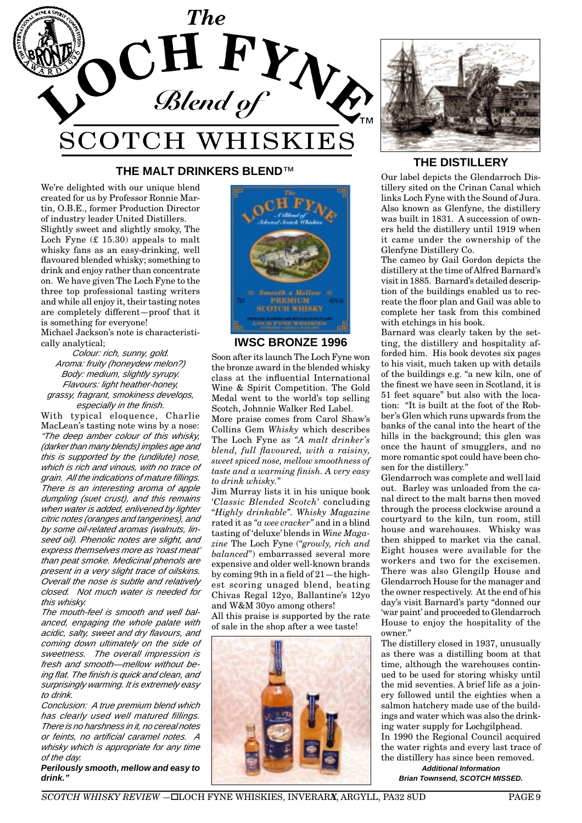

# **THE MALT DRINKERS BLEND**™ **THE DISTILLERY**

We're delighted with our unique blend created for us by Professor Ronnie Martin, O.B.E., former Production Director of industry leader United Distillers. Slightly sweet and slightly smoky, The Loch Fyne (£ 15.30) appeals to malt whisky fans as an easy-drinking, well flavoured blended whisky; something to drink and enjoy rather than concentrate on. We have given The Loch Fyne to the three top professional tasting writers and while all enjoy it, their tasting notes are completely different—proof that it is something for everyone!

Michael Jackson's note is characteristically analytical;

*Colour: rich, sunny, gold. Aroma: fruity (honeydew melon?) Body: medium, slightly syrupy. Flavours: light heather-honey, grassy, fragrant, smokiness develops, especially in the finish.*

With typical eloquence, Charlie MacLean's tasting note wins by a nose: *"The deep amber colour of this whisky, (darker than many blends) implies age and this is supported by the (undilute) nose, which is rich and vinous, with no trace of grain. All the indications of mature fillings. There is an interesting aroma of apple dumpling (suet crust), and this remains when water is added, enlivened by lighter citric notes (oranges and tangerines), and by some oil-related aromas (walnuts, linseed oil). Phenolic notes are slight, and express themselves more as 'roast meat' than peat smoke. Medicinal phenols are present in a very slight trace of oilskins. Overall the nose is subtle and relatively closed. Not much water is needed for this whisky.*

*The mouth-feel is smooth and well balanced, engaging the whole palate with acidic, salty, sweet and dry flavours, and coming down ultimately on the side of sweetness. The overall impression is fresh and smooth—mellow without being flat. The finish is quick and clean, and surprisingly warming. It is extremely easy to drink.*

*Conclusion: A true premium blend which has clearly used well matured fillings. There is no harshness in it, no cereal notes or feints, no artificial caramel notes. A whisky which is appropriate for any time of the day.*

*Perilously smooth, mellow and easy to drink."*



#### **IWSC BRONZE 1996**

Soon after its launch The Loch Fyne won the bronze award in the blended whisky class at the influential International Wine & Spirit Competition. The Gold Medal went to the world's top selling Scotch, Johnnie Walker Red Label.

More praise comes from Carol Shaw's Collins Gem *Whisky* which describes The Loch Fyne as *"A malt drinker's blend, full flavoured, with a raisiny, sweet spiced nose, mellow smoothness of taste and a warming finish. A very easy to drink whisky."*

Jim Murray lists it in his unique book *'Classic Blended Scotch'* concluding "*Highly drinkable". Whisky Magazine* rated it as *"a wee cracker"* and in a blind tasting of 'deluxe' blends in *Wine Magazine* The Loch Fyne ("*growly, rich and balanced*") embarrassed several more expensive and older well-known brands by coming 9th in a field of 21—the highest scoring unaged blend, beating Chivas Regal 12yo, Ballantine's 12yo and W&M 30yo among others! All this praise is supported by the rate of sale in the shop after a wee taste!





Our label depicts the Glendarroch Distillery sited on the Crinan Canal which links Loch Fyne with the Sound of Jura. Also known as Glenfyne, the distillery was built in 1831. A succession of owners held the distillery until 1919 when it came under the ownership of the Glenfyne Distillery Co.

The cameo by Gail Gordon depicts the distillery at the time of Alfred Barnard's visit in 1885. Barnard's detailed description of the buildings enabled us to recreate the floor plan and Gail was able to complete her task from this combined with etchings in his book.

Barnard was clearly taken by the setting, the distillery and hospitality afforded him. His book devotes six pages to his visit, much taken up with details of the buildings e.g. "a new kiln, one of the finest we have seen in Scotland, it is 51 feet square" but also with the location: "It is built at the foot of the Robber's Glen which runs upwards from the banks of the canal into the heart of the hills in the background; this glen was once the haunt of smugglers, and no more romantic spot could have been chosen for the distillery."

Glendarroch was complete and well laid out. Barley was unloaded from the canal direct to the malt barns then moved through the process clockwise around a courtyard to the kiln, tun room, still house and warehouses. Whisky was then shipped to market via the canal. Eight houses were available for the workers and two for the excisemen. There was also Glengilp House and Glendarroch House for the manager and the owner respectively. At the end of his day's visit Barnard's party "donned our 'war paint' and proceeded to Glendarroch House to enjoy the hospitality of the owner."

The distillery closed in 1937, unusually as there was a distilling boom at that time, although the warehouses continued to be used for storing whisky until the mid seventies. A brief life as a joinery followed until the eighties when a salmon hatchery made use of the buildings and water which was also the drinking water supply for Lochgilphead. In 1990 the Regional Council acquired the water rights and every last trace of the distillery has since been removed.

> *Additional Information Brian Townsend, SCOTCH MISSED.*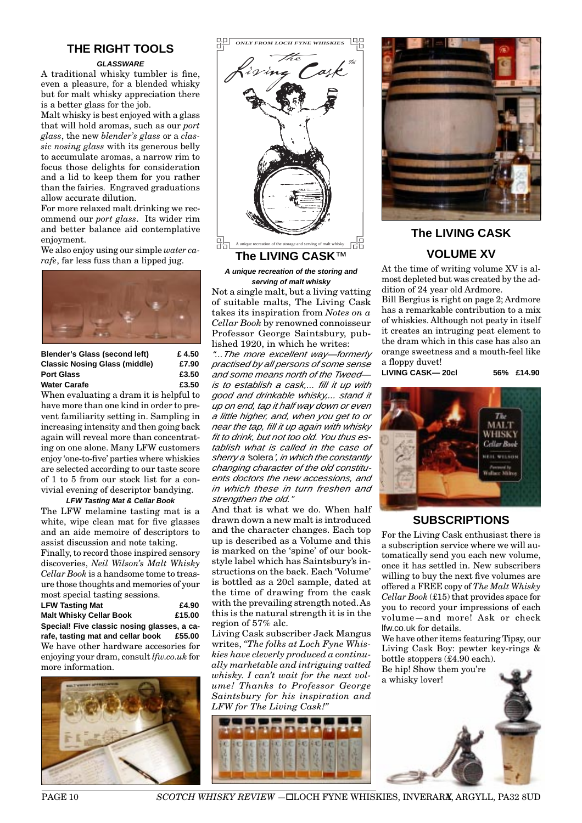# **THE RIGHT TOOLS**

#### *GLASSWARE*

A traditional whisky tumbler is fine, even a pleasure, for a blended whisky but for malt whisky appreciation there is a better glass for the job.

Malt whisky is best enjoyed with a glass that will hold aromas, such as our *port glass*, the new *blender's glass* or a *classic nosing glass* with its generous belly to accumulate aromas, a narrow rim to focus those delights for consideration and a lid to keep them for you rather than the fairies. Engraved graduations allow accurate dilution.

For more relaxed malt drinking we recommend our *port glass*. Its wider rim and better balance aid contemplative enjoyment.

We also enjoy using our simple *water carafe*, far less fuss than a lipped jug.



| Blender's Glass (second left)        | £4.50 |
|--------------------------------------|-------|
| <b>Classic Nosing Glass (middle)</b> | £7.90 |
| <b>Port Glass</b>                    | £3.50 |
| Water Carafe                         | £3.50 |

When evaluating a dram it is helpful to have more than one kind in order to prevent familiarity setting in. Sampling in increasing intensity and then going back again will reveal more than concentrating on one alone. Many LFW customers enjoy 'one-to-five' parties where whiskies are selected according to our taste score of 1 to 5 from our stock list for a convivial evening of descriptor bandying.

#### *LFW Tasting Mat & Cellar Book*

The LFW melamine tasting mat is a white, wipe clean mat for five glasses and an aide memoire of descriptors to assist discussion and note taking.

Finally, to record those inspired sensory discoveries, *Neil Wilson's Malt Whisky Cellar Book* is a handsome tome to treasure those thoughts and memories of your most special tasting sessions.

| <b>LFW Tasting Mat</b>                           | £4.90  |  |
|--------------------------------------------------|--------|--|
| <b>Malt Whisky Cellar Book</b>                   | £15.00 |  |
| Special! Five classic nosing glasses, a ca-      |        |  |
| rafe, tasting mat and cellar book £55.00         |        |  |
| We have other hardware accesories for            |        |  |
| enjoying your dram, consult <i>lfw.co.uk</i> for |        |  |
| more information.                                |        |  |





*A unique recreation of the storing and serving of malt whisky*

Not a single malt, but a living vatting of suitable malts, The Living Cask takes its inspiration from *Notes on a Cellar Book* by renowned connoisseur Professor George Saintsbury, published 1920, in which he writes:

*"...The more excellent way—formerly practised by all persons of some sense and some means north of the Tweed is to establish a cask,... fill it up with good and drinkable whisky,... stand it up on end, tap it half way down or even a little higher, and, when you get to or near the tap, fill it up again with whisky fit to drink, but not too old. You thus establish what is called in the case of sherry a '*solera*', in which the constantly changing character of the old constituents doctors the new accessions, and in which these in turn freshen and strengthen the old."*

And that is what we do. When half drawn down a new malt is introduced and the character changes. Each top up is described as a Volume and this is marked on the 'spine' of our bookstyle label which has Saintsbury's instructions on the back. Each 'Volume' is bottled as a 20cl sample, dated at the time of drawing from the cask with the prevailing strength noted. As this is the natural strength it is in the region of 57% alc.

Living Cask subscriber Jack Mangus writes, *"The folks at Loch Fyne Whiskies have cleverly produced a continually marketable and intriguing vatted whisky. I can't wait for the next volume! Thanks to Professor George Saintsbury for his inspiration and LFW for The Living Cask!"*





# **The LIVING CASK VOLUME XV**

At the time of writing volume XV is almost depleted but was created by the addition of 24 year old Ardmore.

Bill Bergius is right on page 2; Ardmore has a remarkable contribution to a mix of whiskies. Although not peaty in itself it creates an intruging peat element to the dram which in this case has also an orange sweetness and a mouth-feel like a floppy duvet!

**LIVING CASK— 20cl 56% £14.90**



#### **SUBSCRIPTIONS**

For the Living Cask enthusiast there is a subscription service where we will automatically send you each new volume, once it has settled in. New subscribers willing to buy the next five volumes are offered a FREE copy of *The Malt Whisky Cellar Book* (£15) that provides space for you to record your impressions of each volume—and more! Ask or check lfw.co.uk for details.

We have other items featuring Tipsy, our Living Cask Boy: pewter key-rings & bottle stoppers (£4.90 each).

Be hip! Show them you're a whisky lover!



**PAGE 10** *SCOTCH WHISKY REVIEW* −□LOCH FYNE WHISKIES, INVERARX, ARGYLL, PA32 8UD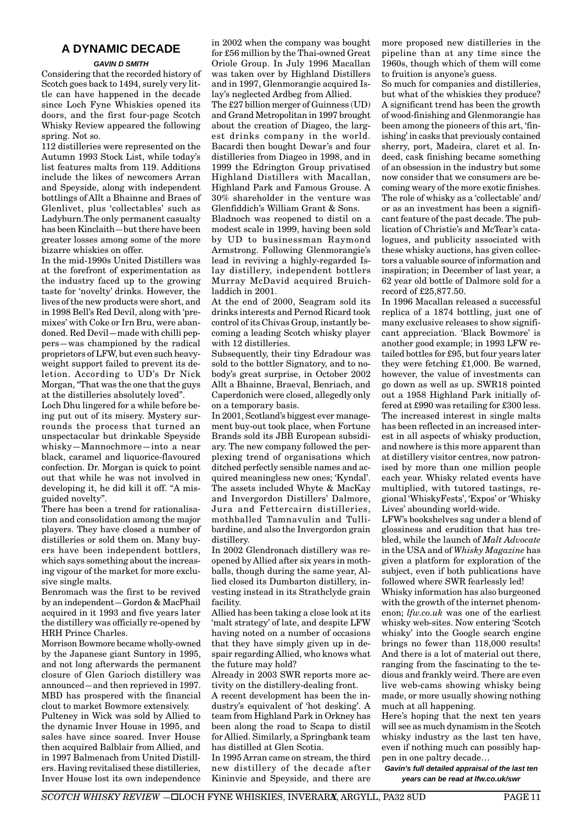# **A DYNAMIC DECADE**

#### *GAVIN D SMITH*

Considering that the recorded history of Scotch goes back to 1494, surely very little can have happened in the decade since Loch Fyne Whiskies opened its doors, and the first four-page Scotch Whisky Review appeared the following spring. Not so.

112 distilleries were represented on the Autumn 1993 Stock List, while today's list features malts from 119. Additions include the likes of newcomers Arran and Speyside, along with independent bottlings of Allt a Bhainne and Braes of Glenlivet, plus 'collectables' such as Ladyburn.The only permanent casualty has been Kinclaith—but there have been greater losses among some of the more bizarre whiskies on offer.

In the mid-1990s United Distillers was at the forefront of experimentation as the industry faced up to the growing taste for 'novelty' drinks. However, the lives of the new products were short, and in 1998 Bell's Red Devil, along with 'premixes' with Coke or Irn Bru, were abandoned. Red Devil—made with chilli peppers—was championed by the radical proprietors of LFW, but even such heavyweight support failed to prevent its deletion. According to UD's Dr Nick Morgan, "That was the one that the guys at the distilleries absolutely loved".

Loch Dhu lingered for a while before being put out of its misery. Mystery surrounds the process that turned an unspectacular but drinkable Speyside whisky—Mannochmore—into a near black, caramel and liquorice-flavoured confection. Dr. Morgan is quick to point out that while he was not involved in developing it, he did kill it off. "A misguided novelty".

There has been a trend for rationalisation and consolidation among the major players. They have closed a number of distilleries or sold them on. Many buyers have been independent bottlers, which says something about the increasing vigour of the market for more exclusive single malts.

Benromach was the first to be revived by an independent—Gordon & MacPhail acquired in it 1993 and five years later the distillery was officially re-opened by HRH Prince Charles.

Morrison Bowmore became wholly-owned by the Japanese giant Suntory in 1995, and not long afterwards the permanent closure of Glen Garioch distillery was announced—and then reprieved in 1997. MBD has prospered with the financial clout to market Bowmore extensively.

Pulteney in Wick was sold by Allied to the dynamic Inver House in 1995, and sales have since soared. Inver House then acquired Balblair from Allied, and in 1997 Balmenach from United Distillers. Having revitalised these distilleries, Inver House lost its own independence in 2002 when the company was bought for £56 million by the Thai-owned Great Oriole Group. In July 1996 Macallan was taken over by Highland Distillers and in 1997, Glenmorangie acquired Islay's neglected Ardbeg from Allied.

The £27 billion merger of Guinness (UD) and Grand Metropolitan in 1997 brought about the creation of Diageo, the largest drinks company in the world. Bacardi then bought Dewar's and four distilleries from Diageo in 1998, and in 1999 the Edrington Group privatised Highland Distillers with Macallan, Highland Park and Famous Grouse. A 30% shareholder in the venture was Glenfiddich's William Grant & Sons.

Bladnoch was reopened to distil on a modest scale in 1999, having been sold by UD to businessman Raymond Armstrong. Following Glenmorangie's lead in reviving a highly-regarded Islay distillery, independent bottlers Murray McDavid acquired Bruichladdich in 2001.

At the end of 2000, Seagram sold its drinks interests and Pernod Ricard took control of its Chivas Group, instantly becoming a leading Scotch whisky player with 12 distilleries.

Subsequently, their tiny Edradour was sold to the bottler Signatory, and to nobody's great surprise, in October 2002 Allt a Bhainne, Braeval, Benriach, and Caperdonich were closed, allegedly only on a temporary basis.

In 2001, Scotland's biggest ever management buy-out took place, when Fortune Brands sold its JBB European subsidiary. The new company followed the perplexing trend of organisations which ditched perfectly sensible names and acquired meaningless new ones; 'Kyndal'. The assets included Whyte & MacKay and Invergordon Distillers' Dalmore, Jura and Fettercairn distilleries, mothballed Tamnavulin and Tullibardine, and also the Invergordon grain distillery.

In 2002 Glendronach distillery was reopened by Allied after six years in mothballs, though during the same year, Allied closed its Dumbarton distillery, investing instead in its Strathclyde grain facility.

Allied has been taking a close look at its 'malt strategy' of late, and despite LFW having noted on a number of occasions that they have simply given up in despair regarding Allied, who knows what the future may hold?

Already in 2003 SWR reports more activity on the distillery-dealing front.

A recent development has been the industry's equivalent of 'hot desking'. A team from Highland Park in Orkney has been along the road to Scapa to distil for Allied. Similarly, a Springbank team has distilled at Glen Scotia.

In 1995 Arran came on stream, the third new distillery of the decade after Kininvie and Speyside, and there are more proposed new distilleries in the pipeline than at any time since the 1960s, though which of them will come to fruition is anyone's guess.

So much for companies and distilleries, but what of the whiskies they produce? A significant trend has been the growth of wood-finishing and Glenmorangie has been among the pioneers of this art, 'finishing' in casks that previously contained sherry, port, Madeira, claret et al. Indeed, cask finishing became something of an obsession in the industry but some now consider that we consumers are becoming weary of the more exotic finishes. The role of whisky as a 'collectable' and/ or as an investment has been a significant feature of the past decade. The publication of Christie's and McTear's catalogues, and publicity associated with these whisky auctions, has given collectors a valuable source of information and inspiration; in December of last year, a 62 year old bottle of Dalmore sold for a record of £25,877.50.

In 1996 Macallan released a successful replica of a 1874 bottling, just one of many exclusive releases to show significant appreciation. 'Black Bowmore' is another good example; in 1993 LFW retailed bottles for £95, but four years later they were fetching £1,000. Be warned, however, the value of investments can go down as well as up. SWR18 pointed out a 1958 Highland Park initially offered at £990 was retailing for £300 less. The increased interest in single malts has been reflected in an increased interest in all aspects of whisky production, and nowhere is this more apparent than at distillery visitor centres, now patronised by more than one million people each year. Whisky related events have multiplied, with tutored tastings, regional 'WhiskyFests', 'Expos' or 'Whisky Lives' abounding world-wide.

LFW's bookshelves sag under a blend of glossiness and erudition that has trebled, while the launch of *Malt Advocate* in the USA and of *Whisky Magazine* has given a platform for exploration of the subject, even if both publications have followed where SWR fearlessly led!

Whisky information has also burgeoned with the growth of the internet phenomenon; *lfw.co.uk* was one of the earliest whisky web-sites. Now entering 'Scotch whisky' into the Google search engine brings no fewer than 118,000 results! And there is a lot of material out there, ranging from the fascinating to the tedious and frankly weird. There are even live web-cams showing whisky being made, or more usually showing nothing much at all happening.

Here's hoping that the next ten years will see as much dynamism in the Scotch whisky industry as the last ten have, even if nothing much can possibly happen in one paltry decade…

*Gavin's full detailed appraisal of the last ten years can be read at lfw.co.uk/swr*